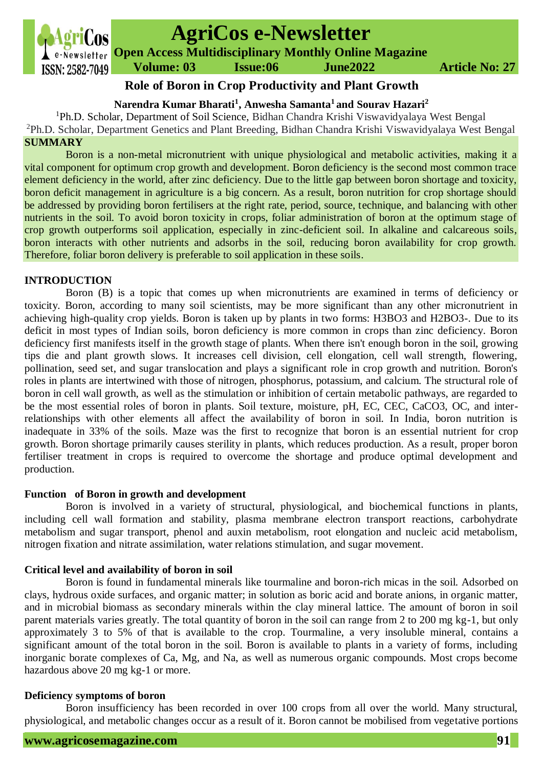

# **AgriCos e-Newsletter**

**Open Access Multidisciplinary Monthly Online Magazine**

# **Role of Boron in Crop Productivity and Plant Growth**

# **Narendra Kumar Bharati<sup>1</sup> , Anwesha Samanta<sup>1</sup> and Sourav Hazari<sup>2</sup>**

<sup>1</sup>Ph.D. Scholar, Department of Soil Science, Bidhan Chandra Krishi Viswavidyalaya West Bengal <sup>2</sup>Ph.D. Scholar, Department Genetics and Plant Breeding, Bidhan Chandra Krishi Viswavidyalaya West Bengal **SUMMARY**

Boron is a non-metal micronutrient with unique physiological and metabolic activities, making it a vital component for optimum crop growth and development. Boron deficiency is the second most common trace element deficiency in the world, after zinc deficiency. Due to the little gap between boron shortage and toxicity, boron deficit management in agriculture is a big concern. As a result, boron nutrition for crop shortage should be addressed by providing boron fertilisers at the right rate, period, source, technique, and balancing with other nutrients in the soil. To avoid boron toxicity in crops, foliar administration of boron at the optimum stage of crop growth outperforms soil application, especially in zinc-deficient soil. In alkaline and calcareous soils, boron interacts with other nutrients and adsorbs in the soil, reducing boron availability for crop growth. Therefore, foliar boron delivery is preferable to soil application in these soils.

# **INTRODUCTION**

Boron (B) is a topic that comes up when micronutrients are examined in terms of deficiency or toxicity. Boron, according to many soil scientists, may be more significant than any other micronutrient in achieving high-quality crop yields. Boron is taken up by plants in two forms: H3BO3 and H2BO3-. Due to its deficit in most types of Indian soils, boron deficiency is more common in crops than zinc deficiency. Boron deficiency first manifests itself in the growth stage of plants. When there isn't enough boron in the soil, growing tips die and plant growth slows. It increases cell division, cell elongation, cell wall strength, flowering, pollination, seed set, and sugar translocation and plays a significant role in crop growth and nutrition. Boron's roles in plants are intertwined with those of nitrogen, phosphorus, potassium, and calcium. The structural role of boron in cell wall growth, as well as the stimulation or inhibition of certain metabolic pathways, are regarded to be the most essential roles of boron in plants. Soil texture, moisture, pH, EC, CEC, CaCO3, OC, and interrelationships with other elements all affect the availability of boron in soil. In India, boron nutrition is inadequate in 33% of the soils. Maze was the first to recognize that boron is an essential nutrient for crop growth. Boron shortage primarily causes sterility in plants, which reduces production. As a result, proper boron fertiliser treatment in crops is required to overcome the shortage and produce optimal development and production.

# **Function of Boron in growth and development**

Boron is involved in a variety of structural, physiological, and biochemical functions in plants, including cell wall formation and stability, plasma membrane electron transport reactions, carbohydrate metabolism and sugar transport, phenol and auxin metabolism, root elongation and nucleic acid metabolism, nitrogen fixation and nitrate assimilation, water relations stimulation, and sugar movement.

# **Critical level and availability of boron in soil**

Boron is found in fundamental minerals like tourmaline and boron-rich micas in the soil. Adsorbed on clays, hydrous oxide surfaces, and organic matter; in solution as boric acid and borate anions, in organic matter, and in microbial biomass as secondary minerals within the clay mineral lattice. The amount of boron in soil parent materials varies greatly. The total quantity of boron in the soil can range from 2 to 200 mg kg-1, but only approximately 3 to 5% of that is available to the crop. Tourmaline, a very insoluble mineral, contains a significant amount of the total boron in the soil. Boron is available to plants in a variety of forms, including inorganic borate complexes of Ca, Mg, and Na, as well as numerous organic compounds. Most crops become hazardous above 20 mg kg-1 or more.

# **Deficiency symptoms of boron**

Boron insufficiency has been recorded in over 100 crops from all over the world. Many structural, physiological, and metabolic changes occur as a result of it. Boron cannot be mobilised from vegetative portions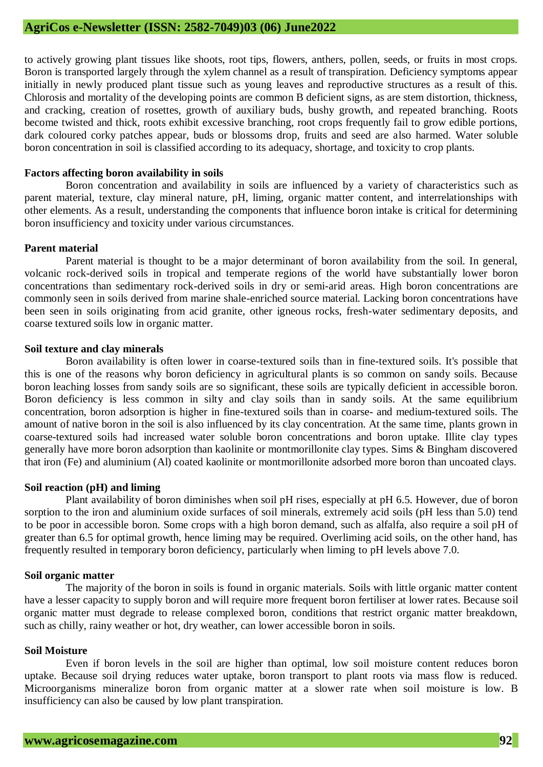to actively growing plant tissues like shoots, root tips, flowers, anthers, pollen, seeds, or fruits in most crops. Boron is transported largely through the xylem channel as a result of transpiration. Deficiency symptoms appear initially in newly produced plant tissue such as young leaves and reproductive structures as a result of this. Chlorosis and mortality of the developing points are common B deficient signs, as are stem distortion, thickness, and cracking, creation of rosettes, growth of auxiliary buds, bushy growth, and repeated branching. Roots become twisted and thick, roots exhibit excessive branching, root crops frequently fail to grow edible portions, dark coloured corky patches appear, buds or blossoms drop, fruits and seed are also harmed. Water soluble boron concentration in soil is classified according to its adequacy, shortage, and toxicity to crop plants.

#### **Factors affecting boron availability in soils**

Boron concentration and availability in soils are influenced by a variety of characteristics such as parent material, texture, clay mineral nature, pH, liming, organic matter content, and interrelationships with other elements. As a result, understanding the components that influence boron intake is critical for determining boron insufficiency and toxicity under various circumstances.

#### **Parent material**

Parent material is thought to be a major determinant of boron availability from the soil. In general, volcanic rock-derived soils in tropical and temperate regions of the world have substantially lower boron concentrations than sedimentary rock-derived soils in dry or semi-arid areas. High boron concentrations are commonly seen in soils derived from marine shale-enriched source material. Lacking boron concentrations have been seen in soils originating from acid granite, other igneous rocks, fresh-water sedimentary deposits, and coarse textured soils low in organic matter.

#### **Soil texture and clay minerals**

Boron availability is often lower in coarse-textured soils than in fine-textured soils. It's possible that this is one of the reasons why boron deficiency in agricultural plants is so common on sandy soils. Because boron leaching losses from sandy soils are so significant, these soils are typically deficient in accessible boron. Boron deficiency is less common in silty and clay soils than in sandy soils. At the same equilibrium concentration, boron adsorption is higher in fine-textured soils than in coarse- and medium-textured soils. The amount of native boron in the soil is also influenced by its clay concentration. At the same time, plants grown in coarse-textured soils had increased water soluble boron concentrations and boron uptake. Illite clay types generally have more boron adsorption than kaolinite or montmorillonite clay types. Sims & Bingham discovered that iron (Fe) and aluminium (Al) coated kaolinite or montmorillonite adsorbed more boron than uncoated clays.

# **Soil reaction (pH) and liming**

Plant availability of boron diminishes when soil pH rises, especially at pH 6.5. However, due of boron sorption to the iron and aluminium oxide surfaces of soil minerals, extremely acid soils (pH less than 5.0) tend to be poor in accessible boron. Some crops with a high boron demand, such as alfalfa, also require a soil pH of greater than 6.5 for optimal growth, hence liming may be required. Overliming acid soils, on the other hand, has frequently resulted in temporary boron deficiency, particularly when liming to pH levels above 7.0.

#### **Soil organic matter**

The majority of the boron in soils is found in organic materials. Soils with little organic matter content have a lesser capacity to supply boron and will require more frequent boron fertiliser at lower rates. Because soil organic matter must degrade to release complexed boron, conditions that restrict organic matter breakdown, such as chilly, rainy weather or hot, dry weather, can lower accessible boron in soils.

#### **Soil Moisture**

Even if boron levels in the soil are higher than optimal, low soil moisture content reduces boron uptake. Because soil drying reduces water uptake, boron transport to plant roots via mass flow is reduced. Microorganisms mineralize boron from organic matter at a slower rate when soil moisture is low. B insufficiency can also be caused by low plant transpiration.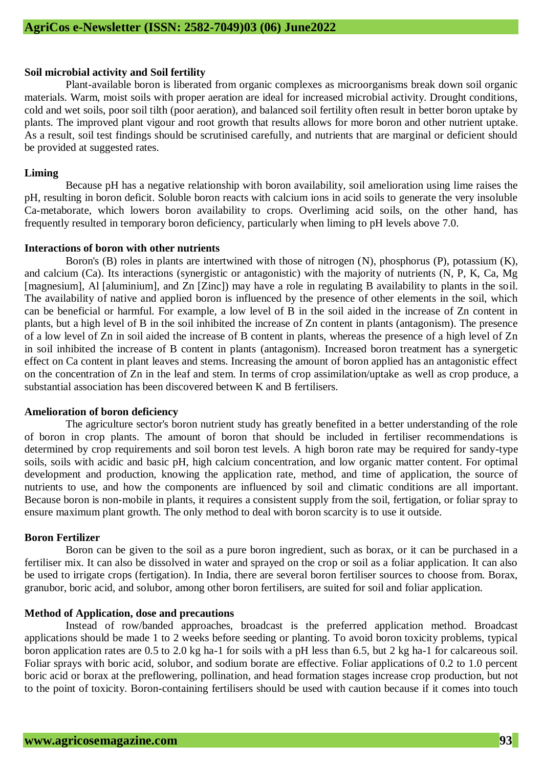#### **Soil microbial activity and Soil fertility**

Plant-available boron is liberated from organic complexes as microorganisms break down soil organic materials. Warm, moist soils with proper aeration are ideal for increased microbial activity. Drought conditions, cold and wet soils, poor soil tilth (poor aeration), and balanced soil fertility often result in better boron uptake by plants. The improved plant vigour and root growth that results allows for more boron and other nutrient uptake. As a result, soil test findings should be scrutinised carefully, and nutrients that are marginal or deficient should be provided at suggested rates.

#### **Liming**

Because pH has a negative relationship with boron availability, soil amelioration using lime raises the pH, resulting in boron deficit. Soluble boron reacts with calcium ions in acid soils to generate the very insoluble Ca-metaborate, which lowers boron availability to crops. Overliming acid soils, on the other hand, has frequently resulted in temporary boron deficiency, particularly when liming to pH levels above 7.0.

#### **Interactions of boron with other nutrients**

Boron's (B) roles in plants are intertwined with those of nitrogen (N), phosphorus (P), potassium (K), and calcium (Ca). Its interactions (synergistic or antagonistic) with the majority of nutrients (N, P, K, Ca, Mg [magnesium], Al [aluminium], and Zn [Zinc]) may have a role in regulating B availability to plants in the soil. The availability of native and applied boron is influenced by the presence of other elements in the soil, which can be beneficial or harmful. For example, a low level of B in the soil aided in the increase of Zn content in plants, but a high level of B in the soil inhibited the increase of Zn content in plants (antagonism). The presence of a low level of Zn in soil aided the increase of B content in plants, whereas the presence of a high level of Zn in soil inhibited the increase of B content in plants (antagonism). Increased boron treatment has a synergetic effect on Ca content in plant leaves and stems. Increasing the amount of boron applied has an antagonistic effect on the concentration of Zn in the leaf and stem. In terms of crop assimilation/uptake as well as crop produce, a substantial association has been discovered between K and B fertilisers.

#### **Amelioration of boron deficiency**

The agriculture sector's boron nutrient study has greatly benefited in a better understanding of the role of boron in crop plants. The amount of boron that should be included in fertiliser recommendations is determined by crop requirements and soil boron test levels. A high boron rate may be required for sandy-type soils, soils with acidic and basic pH, high calcium concentration, and low organic matter content. For optimal development and production, knowing the application rate, method, and time of application, the source of nutrients to use, and how the components are influenced by soil and climatic conditions are all important. Because boron is non-mobile in plants, it requires a consistent supply from the soil, fertigation, or foliar spray to ensure maximum plant growth. The only method to deal with boron scarcity is to use it outside.

## **Boron Fertilizer**

Boron can be given to the soil as a pure boron ingredient, such as borax, or it can be purchased in a fertiliser mix. It can also be dissolved in water and sprayed on the crop or soil as a foliar application. It can also be used to irrigate crops (fertigation). In India, there are several boron fertiliser sources to choose from. Borax, granubor, boric acid, and solubor, among other boron fertilisers, are suited for soil and foliar application.

#### **Method of Application, dose and precautions**

Instead of row/banded approaches, broadcast is the preferred application method. Broadcast applications should be made 1 to 2 weeks before seeding or planting. To avoid boron toxicity problems, typical boron application rates are 0.5 to 2.0 kg ha-1 for soils with a pH less than 6.5, but 2 kg ha-1 for calcareous soil. Foliar sprays with boric acid, solubor, and sodium borate are effective. Foliar applications of 0.2 to 1.0 percent boric acid or borax at the preflowering, pollination, and head formation stages increase crop production, but not to the point of toxicity. Boron-containing fertilisers should be used with caution because if it comes into touch